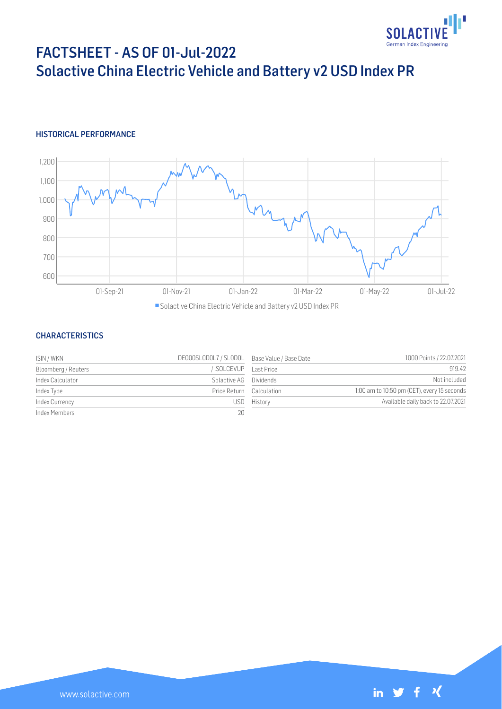

# FACTSHEET - AS OF 01-Jul-2022 Solactive China Electric Vehicle and Battery v2 USD Index PR

## HISTORICAL PERFORMANCE



Solactive China Electric Vehicle and Battery v2 USD Index PR

#### **CHARACTERISTICS**

| ISIN / WKN          | DE000SLODOL7 / SLODOL Base Value / Base Date |         | 1000 Points / 22.07.2021                    |
|---------------------|----------------------------------------------|---------|---------------------------------------------|
| Bloomberg / Reuters | SOLCEVUP Last Price                          |         | 919.42                                      |
| Index Calculator    | Solactive AG Dividends                       |         | Not included                                |
| Index Type          | Price Return Calculation                     |         | 1:00 am to 10:50 pm (CET), every 15 seconds |
| Index Currency      | USD                                          | History | Available daily back to 22.07.2021          |
| Index Members       | 20                                           |         |                                             |

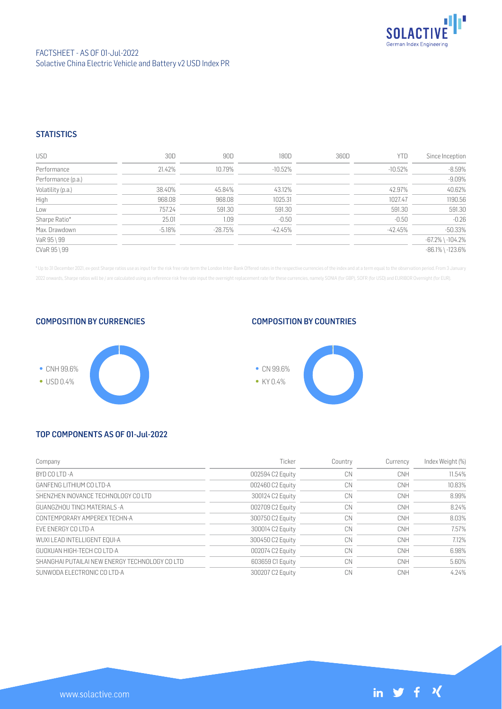

### FACTSHEET - AS OF 01-Jul-2022 Solactive China Electric Vehicle and Battery v2 USD Index PR

## **STATISTICS**

| <b>USD</b>         | 30D      | 90D       | 180D      | 360D | <b>YTD</b> | Since Inception        |
|--------------------|----------|-----------|-----------|------|------------|------------------------|
| Performance        | 21.42%   | 10.79%    | -10.52%   |      | $-10.52%$  | $-8.59%$               |
| Performance (p.a.) |          |           |           |      |            | $-9.09%$               |
| Volatility (p.a.)  | 38.40%   | 45.84%    | 43.12%    |      | 42.97%     | 40.62%                 |
| High               | 968.08   | 968.08    | 1025.31   |      | 1027.47    | 1190.56                |
| Low                | 757.24   | 591.30    | 591.30    |      | 591.30     | 591.30                 |
| Sharpe Ratio*      | 25.01    | 1.09      | $-0.50$   |      | $-0.50$    | $-0.26$                |
| Max. Drawdown      | $-5.18%$ | $-28.75%$ | $-42.45%$ |      | $-42.45%$  | $-50.33%$              |
| VaR 95 \ 99        |          |           |           |      |            | $-67.2\%$ \ $-104.2\%$ |
| CVaR 95 \ 99       |          |           |           |      |            | $-86.1\%$ \ $-123.6\%$ |

\* Up to 31 December 2021, ex-post Sharpe ratios use as input for the risk free rate term the London Inter-Bank Offered rates in the respective currencies of the index and at a term equal to the observation period. From 3 J 2022 onwards, Sharpe ratios will be / are calculated using as reference risk free rate input the overnight replacement rate for these currencies, namely SONIA (for GBP), SOFR (for USD) and EURIBOR Overnight (for EUR).

COMPOSITION BY CURRENCIES



#### COMPOSITION BY COUNTRIES



# TOP COMPONENTS AS OF 01-Jul-2022

| Company                                         | Ticker           | Country | Currency | Index Weight (%) |
|-------------------------------------------------|------------------|---------|----------|------------------|
| BYD CO I TD-A                                   | 002594 C2 Equity | CN      | CNH      | 11.54%           |
| GANEENG LITHIUM CO LTD-A                        | 002460 C2 Equity | CN      | CNH      | 10.83%           |
| SHENZHEN INOVANCE TECHNOLOGY CO LTD             | 300124 C2 Equity | CN      | CNH      | 8.99%            |
| GUANGZHOU TINCI MATERIALS -A                    | 002709 C2 Equity | CN      | CNH      | 8.24%            |
| CONTEMPORARY AMPEREX TECHN-A                    | 300750 C2 Equity | CN      | CNH      | 8.03%            |
| FVF ENERGY CO LTD-A                             | 300014 C2 Equity | CN      | CNH      | 7.57%            |
| WUXI LEAD INTELLIGENT EOUI-A                    | 300450 C2 Equity | CN      | CNH      | 7.12%            |
| GUOXUAN HIGH-TECH CO LTD-A                      | 002074 C2 Equity | CN      | CNH      | 6.98%            |
| SHANGHAI PUTAIL AI NEW ENFRGY TECHNOLOGY CO LTD | 603659 C1 Equity | CN      | CNH      | 5.60%            |
| SUNWODA ELECTRONIC CO LTD-A                     | 300207 C2 Equity | CN      | CNH      | 4.24%            |